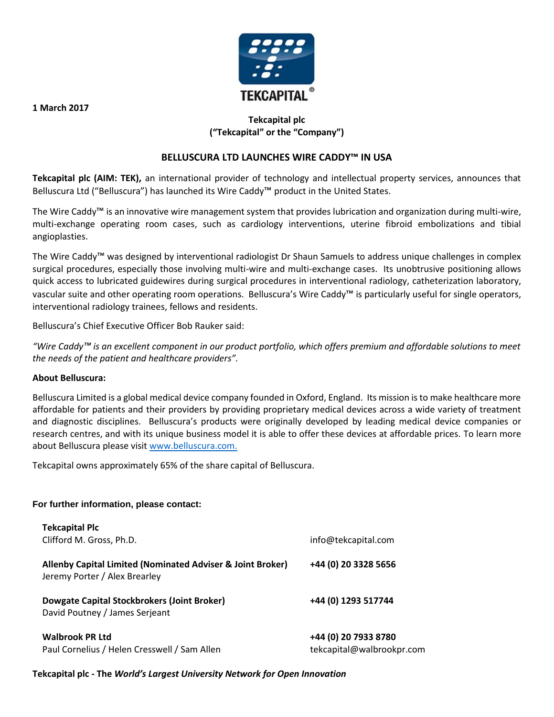

# **Tekcapital plc ("Tekcapital" or the "Company")**

## **BELLUSCURA LTD LAUNCHES WIRE CADDY™ IN USA**

**Tekcapital plc (AIM: TEK),** an international provider of technology and intellectual property services, announces that Belluscura Ltd ("Belluscura") has launched its Wire Caddy™ product in the United States.

The Wire Caddy™ is an innovative wire management system that provides lubrication and organization during multi-wire, multi-exchange operating room cases, such as cardiology interventions, uterine fibroid embolizations and tibial angioplasties.

The Wire Caddy™ was designed by interventional radiologist Dr Shaun Samuels to address unique challenges in complex surgical procedures, especially those involving multi-wire and multi-exchange cases. Its unobtrusive positioning allows quick access to lubricated guidewires during surgical procedures in interventional radiology, catheterization laboratory, vascular suite and other operating room operations. Belluscura's Wire Caddy™ is particularly useful for single operators, interventional radiology trainees, fellows and residents.

Belluscura's Chief Executive Officer Bob Rauker said:

*"Wire Caddy™ is an excellent component in our product portfolio, which offers premium and affordable solutions to meet the needs of the patient and healthcare providers".*

### **About Belluscura:**

Belluscura Limited is a global medical device company founded in Oxford, England. Its mission is to make healthcare more affordable for patients and their providers by providing proprietary medical devices across a wide variety of treatment and diagnostic disciplines. Belluscura's products were originally developed by leading medical device companies or research centres, and with its unique business model it is able to offer these devices at affordable prices. To learn more about Belluscura please visit [www.belluscura.com.](http://www.belluscura.com/)

Tekcapital owns approximately 65% of the share capital of Belluscura.

### **For further information, please contact:**

| <b>Tekcapital Plc</b><br>Clifford M. Gross, Ph.D.                                           | info@tekcapital.com                               |
|---------------------------------------------------------------------------------------------|---------------------------------------------------|
| Allenby Capital Limited (Nominated Adviser & Joint Broker)<br>Jeremy Porter / Alex Brearley | +44 (0) 20 3328 5656                              |
| Dowgate Capital Stockbrokers (Joint Broker)<br>David Poutney / James Serjeant               | +44 (0) 1293 517744                               |
| <b>Walbrook PR Ltd</b><br>Paul Cornelius / Helen Cresswell / Sam Allen                      | +44 (0) 20 7933 8780<br>tekcapital@walbrookpr.com |

### **Tekcapital plc - The** *World's Largest University Network for Open Innovation*

**1 March 2017**